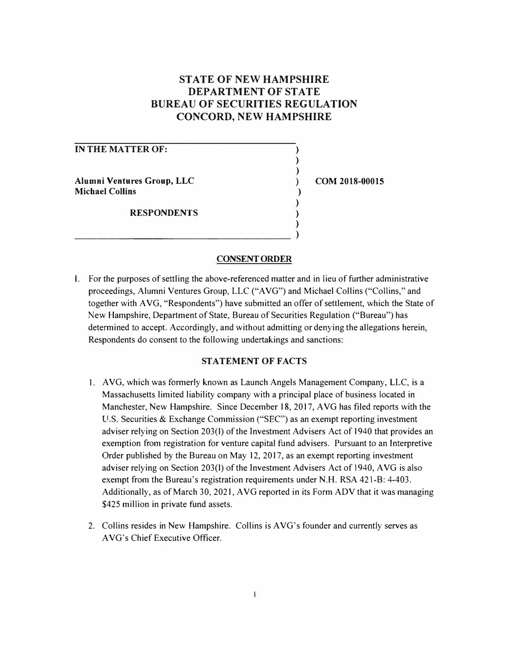# **ST ATE OF NEW HAMPSHIRE DEPARTMENT OF STATE BUREAU OF SECURITIES REGULATION CONCORD, NEW HAMPSHIRE**

) ) )<br>)

) ) ) )

| <b>IN THE MATTER OF:</b>                             |  |
|------------------------------------------------------|--|
| Alumni Ventures Group, LLC<br><b>Michael Collins</b> |  |
| <b>RESPONDENTS</b>                                   |  |

------------------- )

**) COM 2018-00015** 

#### **CONSENT ORDER**

I. For the purposes of settling the above-referenced matter and in lieu of further administrative proceedings, Alumni Ventures Group, LLC ("A VG") and Michael Collins ("Collins," and together with A VG, "Respondents") have submitted an offer of settlement, which the State of New Hampshire, Department of State, Bureau of Securities Regulation ("Bureau") has determined to accept. Accordingly, and without admitting or denying the allegations herein, Respondents do consent to the following undertakings and sanctions:

## **STATEMENT OF FACTS**

- I. A VG, which was formerly known as Launch Angels Management Company, LLC, is a Massachusetts limited liability company with a principal place of business located in Manchester, New Hampshire. Since December 18, 2017, A VG has filed reports with the U.S. Securities & Exchange Commission ("SEC") as an exempt reporting investment adviser relying on Section 203(1) of the Investment Advisers Act of 1940 that provides an exemption from registration for venture capital fund advisers. Pursuant to an Interpretive Order published by the Bureau on May 12, 2017, as an exempt reporting investment adviser relying on Section 203(1) of the Investment Advisers Act of 1940, A VG is also exempt from the Bureau's registration requirements under N.H. RSA 421-B: 4-403. Additionally, as of March 30, 2021, A VG reported in its Form ADV that it was managing \$425 million in private fund assets.
- 2. Collins resides in New Hampshire. Collins is AVG's founder and currently serves as A VG's Chief Executive Officer.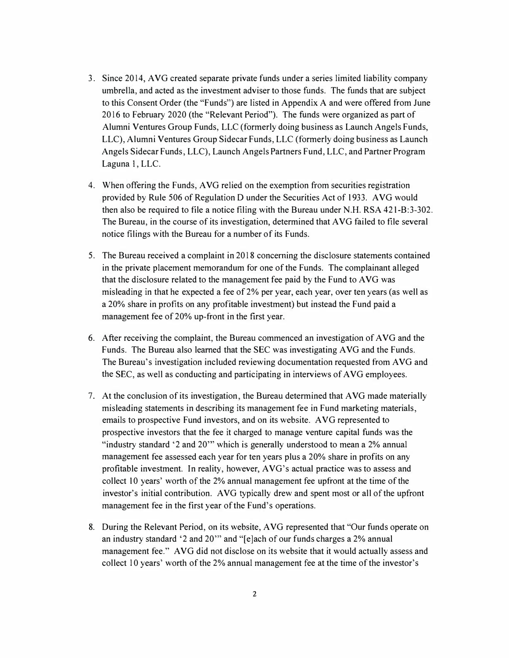- **3. Since 2014, AVG created separate private funds under a series limited liability company umbrella, and acted as the investment adviser to those funds. The funds that are subject to this Consent Order (the "Funds") are listed in Appendix A and were offered from June 2016 to February 2020 (the "Relevant Period"). The funds were organized as part of Alumni Ventures Group Funds, LLC (formerly doing business as Launch Angels Funds, LLC), Alumni Ventures Group Sidecar Funds, LLC (formerly doing business as Launch Angels Sidecar Funds, LLC), Launch Angels Partners Fund, LLC, and Partner Program Laguna 1, LLC.**
- **4. When offering the Funds, A VG relied on the exemption from securities registration provided by Rule 506 of Regulation D under the Securities Act of 1933. AVG would then also be required to file a notice filing with the Bureau under N.H. RSA 421-8:3-302. The Bureau, in the course of its investigation, determined that A VG failed to file several notice filings with the Bureau for a number of its Funds.**
- **5. The Bureau received a complaint in 2018 concerning the disclosure statements contained in the private placement memorandum for one of the Funds. The complainant alleged that the disclosure related to the management fee paid by the Fund to AVG was misleading in that he expected a fee of 2% per year, each year, over ten years (as well as a 20% share in profits on any profitable investment) but instead the Fund paid a management fee of 20% up-front in the first year.**
- **6. After receiving the complaint, the Bureau commenced an investigation of AVG and the Funds. The Bureau also learned that the SEC was investigating A VG and the Funds. The Bureau's investigation included reviewing documentation requested from AVG and the SEC, as well as conducting and participating in interviews of A VG employees.**
- **7. At the conclusion of its investigation, the Bureau determined that A VG made materially misleading statements in describing its management fee in Fund marketing materials, emails to prospective Fund investors, and on its website. A VG represented to prospective investors that the fee it charged to manage venture capital funds was the "industry standard '2 and 20"' which is generally understood to mean a 2% annual management fee assessed each year for ten years plus a 20% share in profits on any profitable investment. In reality, however, A VG's actual practice was to assess and collect 10 years' worth of the 2% annual management fee upfront at the time of the investor's initial contribution. A VG typically drew and spent most or all of the upfront management fee in the first year of the Fund's operations.**
- **8. During the Relevant Period, on its website, A VG represented that "Our funds operate on an industry standard '2 and 20"' and"[ e Jach of our funds charges a 2% annual management fee." A VG did not disclose on its website that it would actually assess and collect l 0 years' worth of the 2% annual management fee at the time of the investor's**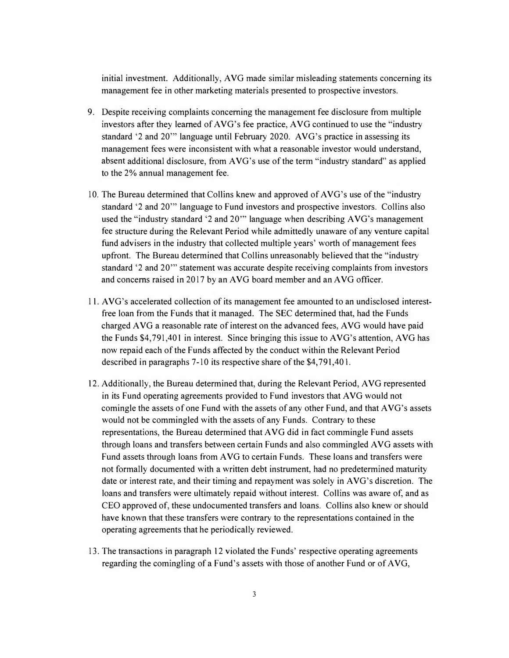**initial investment. Additionally, A VG made similar misleading statements concerning its management fee in other marketing materials presented to prospective investors.** 

- **9. Despite receiving complaints concerning the management fee disclosure from multiple investors after they learned of A VG's fee practice, A VG continued to use the "industry standard '2 and 20"' language until February 2020. A VG's practice in assessing its management fees were inconsistent with what a reasonable investor would understand, absent additional disclosure, from A VG's use of the term "industry standard" as applied to the 2% annual management fee.**
- **10. The Bureau determined that Collins knew and approved of A VG's use of the "industry standard '2 and 20"' language to Fund investors and prospective investors. Collins also used the "industry standard '2 and 20**"' **language when describing A VG's management fee structure during the Relevant Period while admittedly unaware of any venture capital fund advisers in the industry that collected multiple years' worth of management fees upfront. The Bureau determined that Collins unreasonably believed that the "industry standard '2 and 20'" statement was accurate despite receiving complaints from investors**  and concerns raised in 2017 by an AVG board member and an AVG officer.
- **11. A VG's accelerated collection of its management fee amounted to an undisclosed interestfree loan from the Funds that it managed. The SEC determined that, had the Funds charged A VG a reasonable rate of interest on the advanced fees, A VG would have paid the Funds \$4,791,401 in interest. Since bringing this issue to AVG's attention, AVG has now repaid each of the Funds affected by the conduct within the Relevant Period described in paragraphs 7-10 its respective share of the \$4,791,401.**
- **12. Additionally, the Bureau determined that, during the Relevant Period, A VG represented in its Fund operating agreements provided to Fund investors that A VG would not comingle the assets of one Fund with the assets of any other Fund, and that A VG's assets would not be commingled with the assets of any Funds. Contrary to these representations, the Bureau determined that A VG did in fact commingle Fund assets through loans and transfers between certain Funds and also commingled A VG assets with Fund assets through loans from A VG to certain Funds. These loans and transfers were not formally documented with a written debt instrument, had no predetermined maturity**  date or interest rate, and their timing and repayment was solely in AVG's discretion. The **loans and transfers were ultimately repaid without interest. Collins was aware of, and as CEO approved of, these undocumented transfers and loans. Collins also knew or should have known that these transfers were contrary to the representations contained in the operating agreements that he periodically reviewed.**
- **13. The transactions in paragraph 12 violated the Funds' respective operating agreements**  regarding the comingling of a Fund's assets with those of another Fund or of AVG,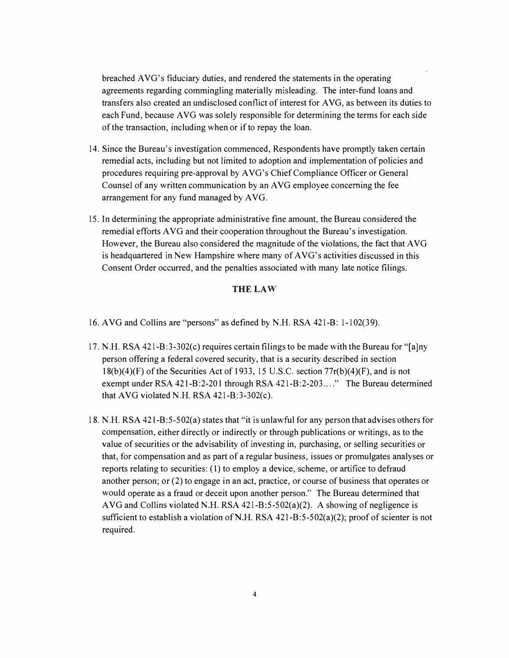**breached A VG's fiduciary duties, and rendered the statements in the operating agreements regarding commingling materially misleading. The inter-fund loans and transfers also created an undisclosed conflict of interest for AVG, as between its duties to each Fund, because A VG was solely responsible for determining the terms for each side of the transaction, including when or if to repay the loan.** 

- **14. Since the Bureau's investigation commenced, Respondents have promptly taken certain remedial acts, including but not limited to adoption and implementation of policies and procedures requiring pre-approval by AVG's Chief Compliance Officer or General Counsel of any written communication by an A VG employee concerning the fee arrangement for any fund managed by AVG.**
- **15. In determining the appropriate administrative fine amount, the Bureau considered the remedial efforts A VG and their cooperation throughout the Bureau's investigation. However, the Bureau also considered the magnitude of the violations, the fact that A VG is headquartered in New Hampshire where many of A VG's activities discussed in this Consent Order occurred, and the penalties associated with many late notice filings.**

### **THE LAW**

- **16. AVG and Collins are "persons" as defined by N.H. RSA 421-B: 1-102(39).**
- **17. N.H. RSA 421-B:3-302(c) requires certain filings to be made with the Bureau for "[a]ny person offering a federal covered security, that is a security described in section 18(b)(4)(F) of the Securities Act of 1933, 15 U.S.C. section 77r(b)(4)(F), and is not exempt under RSA 421-B:2-201 through RSA 421-B:2-203 .... " The Bureau determined that AVG violated N.H. RSA 421-B:3-302(c).**
- **18. N.H. RSA 421-B:5-502(a) states that "it is unlawful for any person that advises others for compensation, either directly or indirectly or through publications or writings, as to the value of securities or the advisability of investing in, purchasing, or selling securities or that, for compensation and as part of a regular business, issues or promulgates analyses or reports relating to securities: (1) to employ a device, scheme, or artifice to defraud another person; or (2) to engage in an act, practice, or course of business that operates or would operate as a fraud or deceit upon another person." The Bureau determined that AVG and Collins violated N.H. RSA 421-B:5-502(a)(2). A showing of negligence is**  sufficient to establish a violation of N.H. RSA 421-B:5-502(a)(2); proof of scienter is not **required.**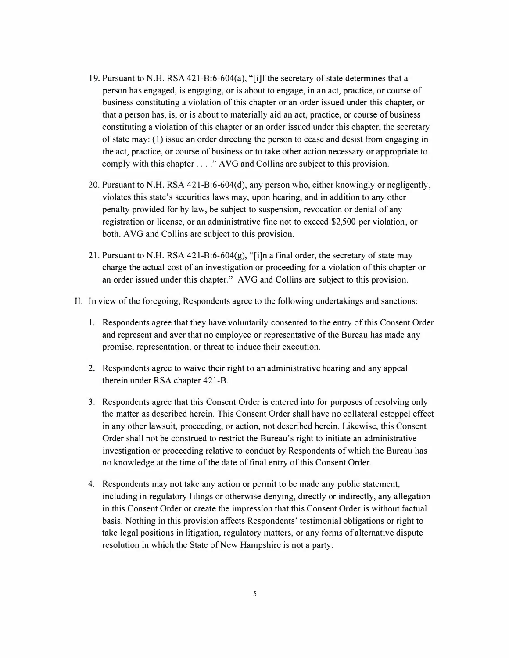- **19. Pursuant to N.H. RSA 421-B:6-604(a), "[i]fthe secretary of state determines that a person has engaged, is engaging, or is about to engage, in an act, practice, or course of business constituting a violation of this chapter or an order issued under this chapter, or that a person has, is, or is about to materially aid an act, practice, or course of business constituting a violation of this chapter or an order issued under this chapter, the secretary of state may: ( 1) issue an order directing the person to cease and desist from engaging in the act, practice, or course of business or to take other action necessary or appropriate to comply with this chapter .... "AVG and Collins are subject to this provision.**
- **20. Pursuant to N.H. RSA 421-B:6-604(d), any person who, either knowingly or negligently, violates this state's securities laws may, upon hearing, and in addition to any other penalty provided for by law, be subject to suspension, revocation or denial of any registration or license, or an administrative fine not to exceed \$2,500 per violation, or both. A VG and Collins are subject to this provision.**
- **21. Pursuant to N.H. RSA 421-B:6-604(g), "[i]n a final order, the secretary of state may charge the actual cost of an investigation or proceeding for a violation of this chapter or an order issued under this chapter. " A VG and Collins are subject to this provision.**
- **II. In view of the foregoing, Respondents agree to the following undertakings and sanctions:** 
	- **1. Respondents agree that they have voluntarily consented to the entry of this Consent Order and represent and aver that no employee or representative of the Bureau has made any promise, representation, or threat to induce their execution.**
	- **2. Respondents agree to waive their right to an administrative hearing and any appeal therein under RSA chapter 421-B.**
	- **3. Respondents agree that this Consent Order is entered into for purposes ofresolving only the matter as described herein. This Consent Order shall have no collateral estoppel effect in any other lawsuit, proceeding, or action, not described herein. Likewise, this Consent Order shall not be construed to restrict the Bureau's right to initiate an administrative investigation or proceeding relative to conduct by Respondents of which the Bureau has no knowledge at the time of the date of final entry of this Consent Order.**
	- **4. Respondents may not take any action or permit to be made any public statement, including in regulatory filings or otherwise denying, directly or indirectly, any allegation in this Consent Order or create the impression that this Consent Order is without factual basis. Nothing in this provision affects Respondents' testimonial obligations or right to take legal positions in litigation, regulatory matters, or any forms of alternative dispute resolution in which the State of New Hampshire is not a party.**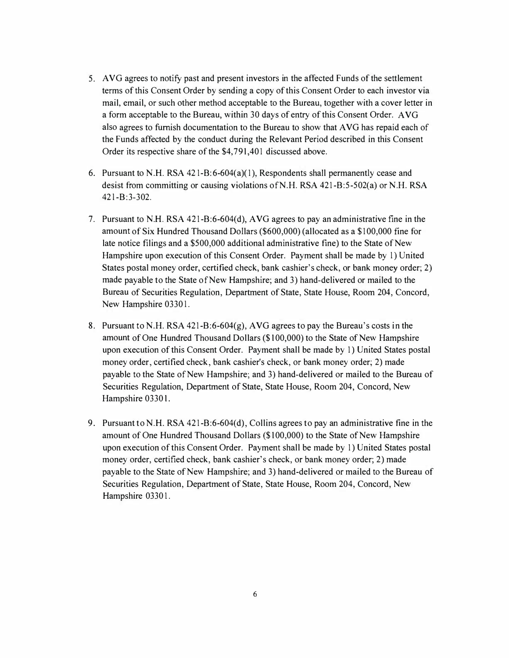- **5. A VG agrees to notify past and present investors in the affected Funds of the settlement terms of this Consent Order by sending a copy of this Consent Order to each investor via mail, email, or such other method acceptable to the Bureau, together with a cover letter in a form acceptable to the Bureau, within 30 days of entry of this Consent Order. A VG also agrees to furnish documentation to the Bureau to show that AVG has repaid each of the Funds affected by the conduct during the Relevant Period described in this Consent Order its respective share of the \$4,791,401 discussed above.**
- **6. Pursuant to N .H. RSA 4 21-B: 6-604( a)( 1 ), Respondents shall permanently cease and desist from committing or causing violations ofN.H. RSA 421-B:5-502(a) or N.H. RSA 42 l-B:3-302.**
- **7. Pursuant to N.H. RSA 421-B:6-604(d), A VG agrees to pay an administrative fine in the amount of Six Hundred Thousand Dollars (\$600,000) (allocated as a \$100,000 fine for late notice filings and a \$500,000 additional administrative fine) to the State of New Hampshire upon execution of this Consent Order. Payment shall be made by 1) United States postal money order, certified check, bank cashier's check, or bank money order; 2) made payable to the State of New Hampshire; and 3) hand-delivered or mailed to the Bureau of Securities Regulation, Department of State, State House, Room 204, Concord, New Hampshire 03301.**
- **8. Pursuant to N.H. RSA 421-B:6-604(g), AVG agrees to pay the Bureau's costs in the amount of One Hundred Thousand Dollars (\$100,000) to the State of New Hampshire upon execution of this Consent Order. Payment shall be made by 1) United States postal money order, certified check, bank cashier's check, or bank money order; 2) made payable to the State of New Hampshire; and 3) hand-delivered or mailed to the Bureau of Securities Regulation, Department of State, State House, Room 204, Concord, New Hampshire 03301.**
- **9. Pursuant to N.H. RSA 421-B:6-604(d), Collins agrees to pay an administrative fine in the amount of One Hundred Thousand Dollars (\$ 100,000) to the State of New Hampshire**  upon execution of this Consent Order. Payment shall be made by 1) United States postal **money order, certified check, bank cashier's check, or bank money order; 2) made payable to the State of New Hampshire; and 3) hand-delivered or mailed to the Bureau of Securities Regulation, Department of State, State House, Room 204, Concord, New Hampshire 0330 I.**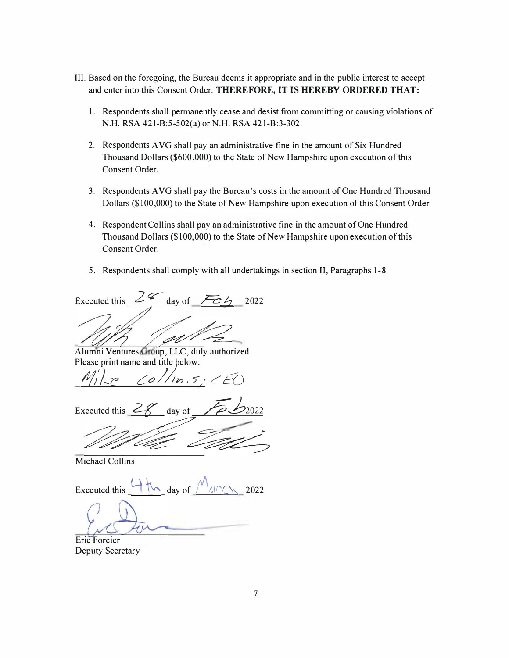- **Ill. Based on the foregoing, the Bureau deems it appropriate and in the public interest to accept and enter into this Consent Order. THEREFORE, IT IS HEREBY ORDERED THAT:** 
	- **l. Respondents shall permanently cease and desist from committing or causing violations of N.H. RSA 42l-B:5-502(a) or N.H. RSA 421-8:3-302.**
	- **2. Respondents A VG shall pay an administrative fine in the amount of Six Hundred Thousand Dollars (\$600,000) to the State of New Hampshire upon execution of this Consent Order.**
	- **3. Respondents AVG shall pay the Bureau's costs in the amount of One Hundred Thousand Dollars (\$100,000) to the State of New Hampshire upon execution of this Consent Order**
	- **4. Respondent Collins shall pay an administrative fine in the amount of One Hundred Thousand Dollars (\$100,000) to the State of New Hampshire upon execution of this Consent Order.**
	- **5. Respondents shall comply with all undertakings in section II, Paragraphs 1-8.**

**Executed this**  $2 \leq d$  day of  $\leq l_1$  2022

Alumni Ventures **Group**, LLC, duly authorized **Please print name and title below:** 

*A/;'ke Cc;/ /2n* 0/ *c BJ* 

Executed this  $\angle$  *K* day of '

**Michael Collins** 

Executed this  $\frac{1}{\sqrt{2}}$  day of *1*  $\sqrt{2022}$ 

**Eric Forcier Deputy Secretary**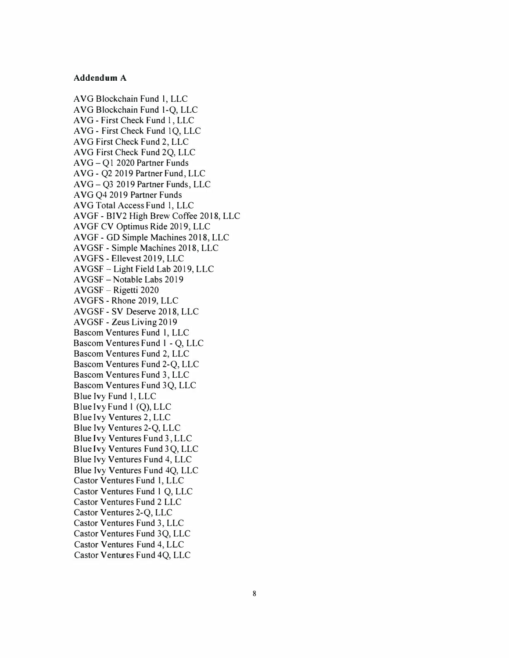#### **Addendum A**

**AVG Blockchain Fund l, LLC AVG Blockchain Fund 1-Q, LLC AVG - First Check Fund 1, LLC AVG - First Check Fund IQ, LLC AVG First Check Fund 2, LLC AVG First Check Fund 2Q, LLC AVG-QI 2020 Partner Funds A VG - Q2 2019 Partner Fund, LLC A VG - Q3 2019 Partner Funds, LLC AVG Q4 2019 Partner Funds AVG Total Access Fund l, LLC A VGF - BIV2 High Brew Coffee 2018, LLC AVGF CV Optimus Ride 2019, LLC AVGF - GD Simple Machines 2018, LLC A VGSF - Simple Machines 2018, LLC AVGFS - Ellevest 2019, LLC AVGSF- Light Field Lab 2019, LLC AVGSF - Notable Labs 2019 A VGSF - Rigetti 2020 AVGFS - Rhone 2019, LLC A VGSF - SV Deserve 2018, LLC A VGSF - Zeus Living 2019 Bascom Ventures Fund l, LLC Bascom Ventures Fund l - Q, LLC Bascom Ventures Fund 2, LLC Bascom Ventures Fund 2-Q, LLC Bascom Ventures Fund 3, LLC Bascom Ventures Fund 3Q, LLC Blue Ivy Fund l, LLC Blue Ivy Fund l (Q), LLC Blue Ivy Ventures 2, LLC Blue Ivy Ventures 2-Q, LLC Blue Ivy Ventures Fund 3, LLC Blue Ivy Ventures Fund 3Q, LLC Blue Ivy Ventures Fund 4, LLC Blue Ivy Ventures Fund 4Q, LLC Castor Ventures Fund l, LLC Castor Ventures Fund l Q, LLC Castor Ventures Fund 2 LLC Castor Ventures 2-Q, LLC Castor Ventures Fund 3, LLC Castor Ventures Fund 3 Q, LLC Castor Ventures Fund 4, LLC Castor Ventures Fund 4Q, LLC**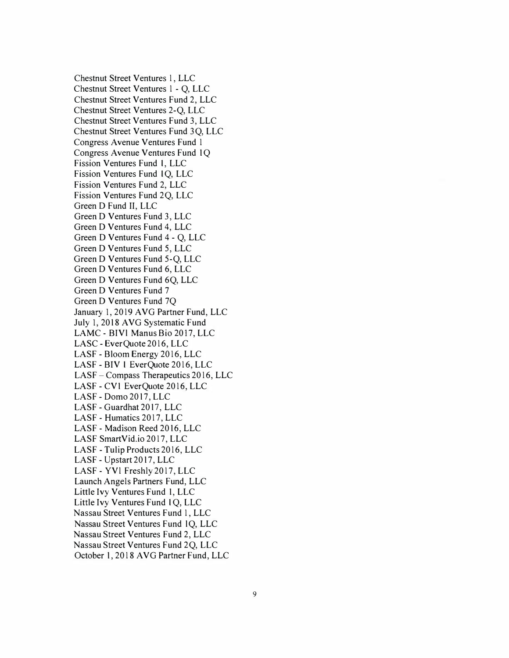**Chestnut Street Ventures 1, LLC Chestnut Street Ventures 1 - Q, LLC Chestnut Street Ventures Fund 2, LLC Chestnut Street Ventures 2-Q, LLC Chestnut Street Ventures Fund 3, LLC Chestnut Street Ventures Fund 3Q, LLC Congress A venue Ventures Fund 1 Congress Avenue Ventures Fund 10 Fission Ventures Fund I, LLC Fission Ventures Fund IQ, LLC Fission Ventures Fund 2, LLC Fission Ventures Fund 2Q, LLC Green D Fund II, LLC Green D Ventures Fund 3, LLC Green D Ventures Fund 4, LLC Green D Ventures Fund 4 - Q, LLC Green D Ventures Fund 5, LLC Green D Ventures Fund 5-Q, LLC Green D Ventures Fund 6, LLC Green D Ventures Fund 6Q, LLC Green D Ventures Fund 7 Green D Ventures Fund 7Q January I, 2019 AVG Partner Fund, LLC**  July 1, 2018 AVG Systematic Fund **LAMC- BIVl Manus Bio 20 17, LLC LASC - EverQuote 2016, LLC LASF - Bloom Energy 2016, LLC LASF - BIV I EverQuote 2016, LLC LASF - Compass Therapeutics 2016, LLC LASF - CV 1 EverQuote 2016, LLC LASF - Domo 2017, LLC**  LASF - Guardhat 2017, LLC **LASF - Humatics 2017, LLC LASF - Madison Reed 2016, LLC LASF SmartVid.io 2017, LLC LASF - Tulip Products 2016, LLC LASF - Upstart 2017, LLC LASF - YVl Freshly 2017, LLC Launch Angels Partners Fund, LLC Little Ivy Ventures Fund 1, LLC Little Ivy Ventures Fund IQ, LLC Nassau Street Ventures Fund 1, LLC Nassau Street Ventures Fund lQ, LLC Nassau Street Ventures Fund 2, LLC Nassau Street Ventures Fund 2Q, LLC October 1, 2018 A VG Partner Fund, LLC**